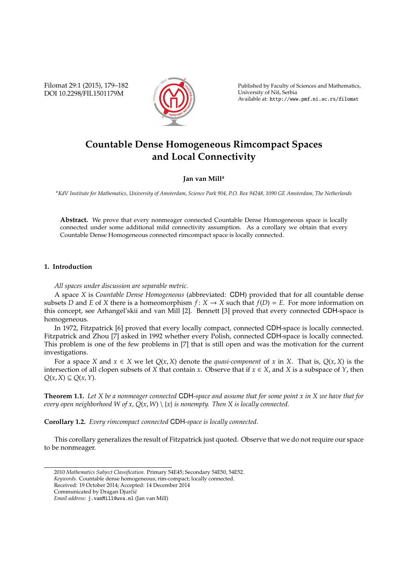Filomat 29:1 (2015), 179–182 DOI 10.2298/FIL1501179M



Published by Faculty of Sciences and Mathematics, University of Niš, Serbia Available at: http://www.pmf.ni.ac.rs/filomat

# **Countable Dense Homogeneous Rimcompact Spaces and Local Connectivity**

# **Jan van Mill<sup>a</sup>**

*<sup>a</sup>KdV Institute for Mathematics, University of Amsterdam, Science Park 904, P.O. Box 94248, 1090 GE Amsterdam, The Netherlands*

**Abstract.** We prove that every nonmeager connected Countable Dense Homogeneous space is locally connected under some additional mild connectivity assumption. As a corollary we obtain that every Countable Dense Homogeneous connected rimcompact space is locally connected.

# **1. Introduction**

*All spaces under discussion are separable metric.*

A space *X* is *Countable Dense Homogeneous* (abbreviated: CDH) provided that for all countable dense subsets *D* and *E* of *X* there is a homeomorphism  $f: X \to X$  such that  $f(D) = E$ . For more information on this concept, see Arhangel'skii and van Mill [2]. Bennett [3] proved that every connected CDH-space is homogeneous.

In 1972, Fitzpatrick [6] proved that every locally compact, connected CDH-space is locally connected. Fitzpatrick and Zhou [7] asked in 1992 whether every Polish, connected CDH-space is locally connected. This problem is one of the few problems in [7] that is still open and was the motivation for the current investigations.

For a space *X* and  $x \in X$  we let  $Q(x, X)$  denote the *quasi-component* of *x* in *X*. That is,  $Q(x, X)$  is the intersection of all clopen subsets of *X* that contain *x*. Observe that if  $x \in X$ , and *X* is a subspace of *Y*, then *Q*(*x*, *X*) ⊆ *Q*(*x*,*Y*).

**Theorem 1.1.** *Let X be a nonmeager connected* CDH*-space and assume that for some point x in X we have that for every open neighborhood W of x, Q*(*x*, *W*) \ {*x*} *is nonempty. Then X is locally connected.*

**Corollary 1.2.** *Every rimcompact connected* CDH*-space is locally connected.*

This corollary generalizes the result of Fitzpatrick just quoted. Observe that we do not require our space to be nonmeager.

*Keywords*. Countable dense homogeneous; rim-compact; locally connected.

Received: 19 October 2014; Accepted: 14 December 2014

<sup>2010</sup> *Mathematics Subject Classification*. Primary 54E45; Secondary 54E50, 54E52.

Communicated by Dragan Djurčić

*Email address:* j.vanMill@uva.nl (Jan van Mill)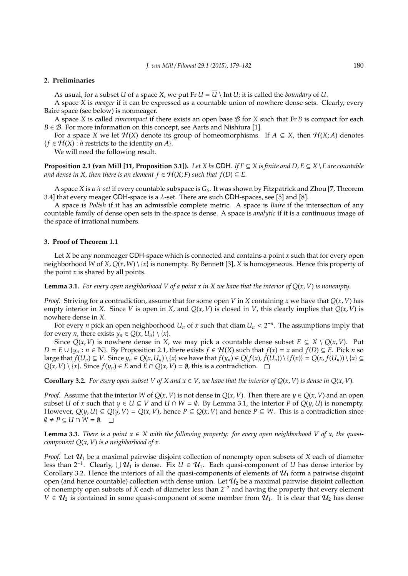#### **2. Preliminaries**

As usual, for a subset *U* of a space *X*, we put  $\text{Fr } U = \overline{U} \setminus \text{Int } U$ ; it is called the *boundary* of *U*.

A space *X* is *meager* if it can be expressed as a countable union of nowhere dense sets. Clearly, every Baire space (see below) is nonmeager.

A space *X* is called *rimcompact* if there exists an open base B for *X* such that Fr *B* is compact for each *B*  $\in$  *B*. For more information on this concept, see Aarts and Nishiura [1].

For a space *X* we let  $H(X)$  denote its group of homeomorphisms. If  $A \subseteq X$ , then  $H(X; A)$  denotes  ${f \in H(X) : h \text{ restricts to the identity on } A}.$ 

We will need the following result.

**Proposition 2.1 (van Mill [11, Proposition 3.1]).** *Let X be* CDH. *If*  $F \subseteq X$  *is finite and*  $D, E \subseteq X \setminus F$  are countable *and dense in X, then there is an element*  $f \in H(X;F)$  *such that*  $f(D) \subseteq E$ .

A space *X* is a  $\lambda$ -set if every countable subspace is  $G_{\delta}$ . It was shown by Fitzpatrick and Zhou [7, Theorem 3.4] that every meager CDH-space is a  $\lambda$ -set. There are such CDH-spaces, see [5] and [8].

A space is *Polish* if it has an admissible complete metric. A space is *Baire* if the intersection of any countable family of dense open sets in the space is dense. A space is *analytic* if it is a continuous image of the space of irrational numbers.

#### **3. Proof of Theorem 1.1**

Let *X* be any nonmeager CDH-space which is connected and contains a point *x* such that for every open neighborhood *W* of *X*, *Q*(*x*, *W*) \ {*x*} is nonempty. By Bennett [3], *X* is homogeneous. Hence this property of the point *x* is shared by all points.

**Lemma 3.1.** For every open neighborhood V of a point x in X we have that the interior of  $Q(x, V)$  is nonempty.

*Proof.* Striving for a contradiction, assume that for some open *V* in *X* containing *x* we have that *Q*(*x*, *V*) has empty interior in *X*. Since *V* is open in *X*, and  $Q(x, V)$  is closed in *V*, this clearly implies that  $Q(x, V)$  is nowhere dense in *X*.

For every *n* pick an open neighborhood  $U_n$  of *x* such that diam  $U_n < 2^{-n}$ . The assumptions imply that for every *n*, there exists  $y_n \in O(x, U_n) \setminus \{x\}.$ 

Since  $Q(x, V)$  is nowhere dense in *X*, we may pick a countable dense subset  $E \subseteq X \setminus Q(x, V)$ . Put *D* = *E* ∪ {*y<sub>n</sub>* : *n* ∈ N}. By Proposition 2.1, there exists  $f \in H(X)$  such that  $f(x) = x$  and  $f(D) ⊆ E$ . Pick *n* so large that  $f(U_n) \subseteq V$ . Since  $y_n \in Q(x, U_n) \setminus \{x\}$  we have that  $f(y_n) \in Q(f(x), f(U_n)) \setminus \{f(x)\} = Q(x, f(U_n)) \setminus \{x\} \subseteq$ *Q*(*x*, *V*) \ {*x*}. Since *f*(*y<sub>n</sub>*) ∈ *E* and *E* ∩ *Q*(*x*, *V*) = Ø, this is a contradiction.  $□$ 

**Corollary 3.2.** For every open subset V of X and  $x \in V$ , we have that the interior of  $Q(x, V)$  is dense in  $Q(x, V)$ .

*Proof.* Assume that the interior *W* of  $Q(x, V)$  is not dense in  $Q(x, V)$ . Then there are  $y \in Q(x, V)$  and an open subset *U* of *x* such that  $y \in U \subseteq V$  and  $U \cap W = \emptyset$ . By Lemma 3.1, the interior *P* of  $Q(y, U)$  is nonempty. However,  $Q(y, U) \subseteq Q(y, V) = Q(x, V)$ , hence  $P \subseteq Q(x, V)$  and hence  $P \subseteq W$ . This is a contradiction since  $\emptyset$  ≠ *P* ⊆ *U* ∩ *W* =  $\emptyset$ . □

**Lemma 3.3.** *There is a point*  $x \in X$  *with the following property: for every open neighborhood V of x, the quasicomponent Q*(*x*, *V*) *is a neighborhood of x.*

*Proof.* Let  $U_1$  be a maximal pairwise disjoint collection of nonempty open subsets of *X* each of diameter less than 2<sup>-1</sup>. Clearly,  $\cup$   $\mathcal{U}_1$  is dense. Fix *U* ∈  $\mathcal{U}_1$ . Each quasi-component of *U* has dense interior by Corollary 3.2. Hence the interiors of all the quasi-components of elements of  $\mathcal{U}_1$  form a pairwise disjoint open (and hence countable) collection with dense union. Let  $\mathcal{U}_2$  be a maximal pairwise disjoint collection of nonempty open subsets of *X* each of diameter less than 2<sup>−</sup><sup>2</sup> and having the property that every element  $V \in U_2$  is contained in some quasi-component of some member from  $U_1$ . It is clear that  $U_2$  has dense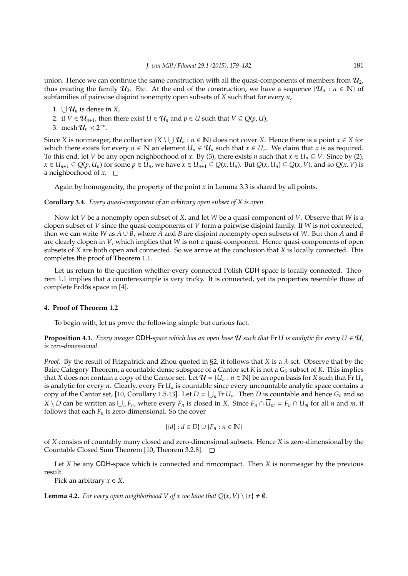union. Hence we can continue the same construction with all the quasi-components of members from  $\mathcal{U}_2$ . thus creating the family  $U_3$ . Etc. At the end of the construction, we have a sequence  $\{U_n : n \in \mathbb{N}\}\$  of subfamilies of pairwise disjoint nonempty open subsets of *X* such that for every *n*,

- 1.  $\bigcup \mathcal{U}_n$  is dense in *X*,
- 2. if *V*  $\in$  **U**<sub>*n*+1</sub>, then there exist *U*  $\in$  **U**<sub>*n*</sub> and *p*  $\in$  *U* such that *V*  $\subseteq$  *Q*(*p*, *U*),
- 3. mesh  $\mathcal{U}_n < 2^{-n}$ .

Since *X* is nonmeager, the collection  $\{X \setminus \bigcup \mathcal{U}_n : n \in \mathbb{N}\}$  does not cover *X*. Hence there is a point  $x \in X$  for which there exists for every  $n \in \mathbb{N}$  an element  $U_n \in \mathcal{U}_n$  such that  $x \in U_n$ . We claim that  $x$  is as required. To this end, let *V* be any open neighborhood of *x*. By (3), there exists *n* such that  $x \in U_n \subseteq V$ . Since by (2),  $x \in U_{n+1} \subseteq Q(p, U_n)$  for some  $p \in U_n$ , we have  $x \in U_{n+1} \subseteq Q(x, U_n)$ . But  $Q(x, U_n) \subseteq Q(x, V)$ , and so  $Q(x, V)$  is a neighborhood of  $x$ .  $\square$ 

Again by homogeneity, the property of the point *x* in Lemma 3.3 is shared by all points.

## **Corollary 3.4.** *Every quasi-component of an arbitrary open subset of X is open.*

Now let *V* be a nonempty open subset of *X*, and let *W* be a quasi-component of *V*. Observe that *W* is a clopen subset of *V* since the quasi-components of *V* form a pairwise disjoint family. If *W* is not connected, then we can write *W* as *A* ∪ *B*, where *A* and *B* are disjoint nonempty open subsets of *W*. But then *A* and *B* are clearly clopen in *V*, which implies that *W* is not a quasi-component. Hence quasi-components of open subsets of *X* are both open and connected. So we arrive at the conclusion that *X* is locally connected. This completes the proof of Theorem 1.1.

Let us return to the question whether every connected Polish CDH-space is locally connected. Theorem 1.1 implies that a counterexample is very tricky. It is connected, yet its properties resemble those of complete Erdős space in [4].

## **4. Proof of Theorem 1.2**

To begin with, let us prove the following simple but curious fact.

**Proposition 4.1.** *Every meager* CDH-space which has an open base U such that Fr U is analytic for every  $U \in U$ , *is zero-dimensional.*

*Proof.* By the result of Fitzpatrick and Zhou quoted in §2, it follows that *X* is a λ-set. Observe that by the Baire Category Theorem, a countable dense subspace of a Cantor set *K* is not a  $G_{\delta}$ -subset of *K*. This implies that *X* does not contain a copy of the Cantor set. Let  $\mathcal{U} = \{U_n : n \in \mathbb{N}\}\$ be an open basis for *X* such that Fr  $U_n$ is analytic for every *n*. Clearly, every Fr *U<sup>n</sup>* is countable since every uncountable analytic space contains a copy of the Cantor set, [10, Corollary 1.5.13]. Let  $D = \bigcup_n \text{Fr } U_n$ . Then *D* is countable and hence  $G_\delta$  and so  $X\setminus D$  can be written as  $\bigcup_n F_n$ , where every  $F_n$  is closed in X. Since  $F_n\cap\overline{U}_m=F_n\cap U_m$  for all n and m, it follows that each  $F_n$  is zero-dimensional. So the cover

$$
\{\{d\}:d\in D\}\cup\{F_n:n\in\mathbb{N}\}
$$

of *X* consists of countably many closed and zero-dimensional subsets. Hence *X* is zero-dimensional by the Countable Closed Sum Theorem [10, Theorem 3.2.8].

Let *X* be any CDH-space which is connected and rimcompact. Then *X* is nonmeager by the previous result.

Pick an arbitrary  $x \in X$ .

**Lemma 4.2.** *For every open neighborhood V of x we have that*  $Q(x, V) \setminus \{x\} \neq \emptyset$ *.*